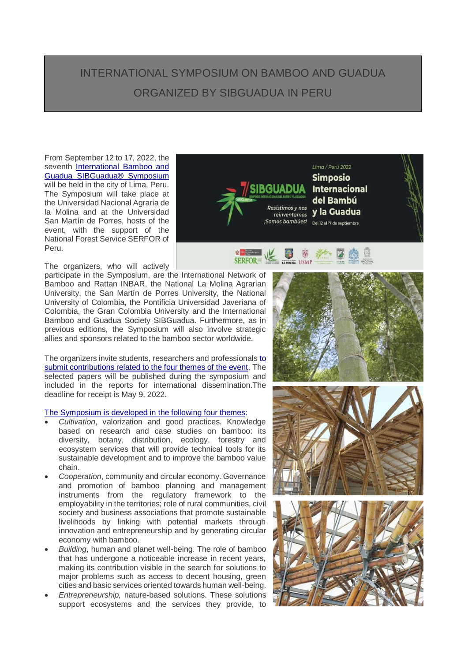## INTERNATIONAL SYMPOSIUM ON BAMBOO AND GUADUA ORGANIZED BY SIBGUADUA IN PERU

SERFORE

From September 12 to 17, 2022, the seventh International Bamboo and [Guadua SIBGuadua®️](https://www.sibguadua.org/7simposio/) Symposium will be held in the city of Lima, Peru. The Symposium will take place at the Universidad Nacional Agraria de la Molina and at the Universidad San Martín de Porres, hosts of the event, with the support of the National Forest Service SERFOR of Peru.

The organizers, who will actively

participate in the Symposium, are the International Network of Bamboo and Rattan INBAR, the National La Molina Agrarian University, the San Martín de Porres University, the National University of Colombia, the Pontificia Universidad Javeriana of Colombia, the Gran Colombia University and the International Bamboo and Guadua Society SIBGuadua. Furthermore, as in previous editions, the Symposium will also involve strategic allies and sponsors related to the bamboo sector worldwide.

The organizers invite students, researchers and professionals [to](https://www.sibguadua.org/7simposio/convocatorias/)  [submit contributions related to the four themes of the event.](https://www.sibguadua.org/7simposio/convocatorias/) The selected papers will be published during the symposium and included in the reports for international dissemination.The deadline for receipt is May 9, 2022.

## [The Symposium is developed in the following four themes:](https://www.sibguadua.org/7simposio/7-tematicas/)

- *Cultivation*, valorization and good practices. Knowledge based on research and case studies on bamboo: its diversity, botany, distribution, ecology, forestry and ecosystem services that will provide technical tools for its sustainable development and to improve the bamboo value chain.
- *Cooperation*, community and circular economy. Governance and promotion of bamboo planning and management instruments from the regulatory framework to the employability in the territories; role of rural communities, civil society and business associations that promote sustainable livelihoods by linking with potential markets through innovation and entrepreneurship and by generating circular economy with bamboo.
- *Building*, human and planet well-being. The role of bamboo that has undergone a noticeable increase in recent years, making its contribution visible in the search for solutions to major problems such as access to decent housing, green cities and basic services oriented towards human well-being.
- *Entrepreneurship,* nature-based solutions. These solutions support ecosystems and the services they provide, to



D<br>**A MOLINA** USMP





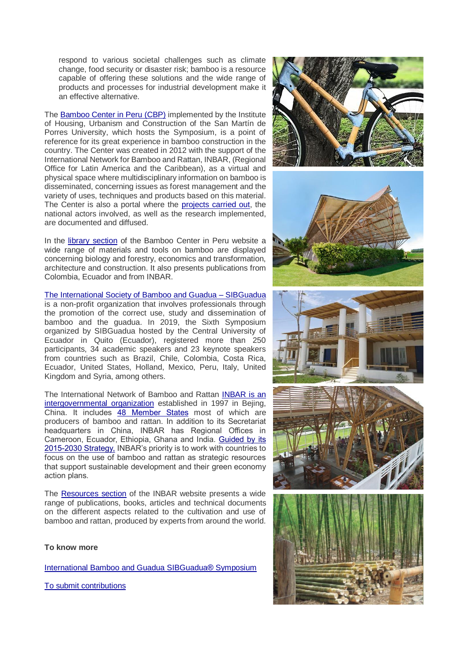respond to various societal challenges such as climate change, food security or disaster risk; bamboo is a resource capable of offering these solutions and the wide range of products and processes for industrial development make it an effective alternative.

Th[e Bamboo Center in Peru \(CBP\)](https://www.usmp.edu.pe/centro_bambu_peru/nosotros.php) implemented by the Institute of Housing, Urbanism and Construction of the San Martín de Porres University, which hosts the Symposium, is a point of reference for its great experience in bamboo construction in the country. The Center was created in 2012 with the support of the International Network for Bamboo and Rattan, INBAR, (Regional Office for Latin America and the Caribbean), as a virtual and physical space where multidisciplinary information on bamboo is disseminated, concerning issues as forest management and the variety of uses, techniques and products based on this material. The Center is also a portal where the [projects carried out,](https://www.usmp.edu.pe/centro_bambu_peru/vivienda.php) the national actors involved, as well as the research implemented, are documented and diffused.

In the [library section](https://www.usmp.edu.pe/centro_bambu_peru/informacion_tecnica.php) of the Bamboo Center in Peru website a wide range of materials and tools on bamboo are displayed concerning biology and forestry, economics and transformation, architecture and construction. It also presents publications from Colombia, Ecuador and from INBAR.

[The International Society of Bamboo and Guadua –](https://www.sibguadua.org/nuestra-hisoria/) SIBGuadua

is a non-profit organization that involves professionals through the promotion of the correct use, study and dissemination of bamboo and the guadua. In 2019, the Sixth Symposium organized by SIBGuadua hosted by the Central University of Ecuador in Quito (Ecuador), registered more than 250 participants, 34 academic speakers and 23 keynote speakers from countries such as Brazil, Chile, Colombia, Costa Rica, Ecuador, United States, Holland, Mexico, Peru, Italy, United Kingdom and Syria, among others.

The International Network of Bamboo and Rattan [INBAR is an](https://www.inbar.int/about-inbar/)  [intergovernmental organization](https://www.inbar.int/about-inbar/) established in 1997 in Bejing, China. It includes [48 Member States](https://www.inbar.int/about-inbar/inbarmembership/) most of which are producers of bamboo and rattan. In addition to its Secretariat headquarters in China, INBAR has Regional Offices in Cameroon, Ecuador, Ethiopia, Ghana and India. [Guided by its](https://www.inbar.int/about-inbar/mission-strategy/#1)  [2015-2030 Strategy,](https://www.inbar.int/about-inbar/mission-strategy/#1) INBAR's priority is to work with countries to focus on the use of bamboo and rattan as strategic resources that support sustainable development and their green economy action plans.

The [Resources section](https://www.inbar.int/resources/) of the INBAR website presents a wide range of publications, books, articles and technical documents on the different aspects related to the cultivation and use of bamboo and rattan, produced by experts from around the world.

## **To know more**

[International Bamboo and Guadua SIBGuadua®️](https://www.sibguadua.org/7simposio/) Symposium

[To submit contributions](https://www.sibguadua.org/7simposio/convocatorias/)